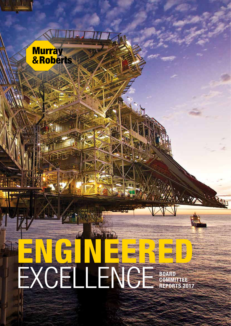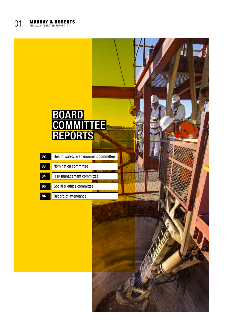## BOARD **COMMITTEE** REPORTS

| 02 | Health, safety & environment committee |
|----|----------------------------------------|
|    |                                        |
| 03 | Nomination committee                   |
|    |                                        |
| 04 | Risk management committee              |
|    |                                        |
| 05 | Social & ethics committee              |
|    |                                        |
|    | Record of attendance                   |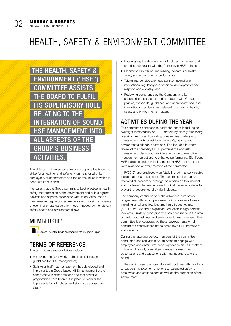# HEALTH, SAFETY & ENVIRONMENT COMMITTEE



The HSE committee encourages and supports the Group to strive for a healthier and safer environment for all of its employees, subcontractors and the communities in which it conducts its business.

It ensures that the Group commits to best practice in health, safety and protection of the environment and public against hazards and aspects associated with its activities; and to meet relevant regulatory requirements with an aim to operate at even higher standards than those imposed by the relevant safety, health and environmental laws.

#### **MEMBERSHIP**



Disclosed under the Group directorate in the Integrated Report.

### TERMS OF REFERENCE

The committee's responsibilities include:

- Approving the framework, policies, standards and guidelines for HSE management;
- Satisfying itself that management has developed and implemented a Group-based HSE management system consistent with best practices and that effective programmes have been put in place to monitor the implementation of policies and standards across the Group;
- Encouraging the development of policies, guidelines and practices congruent with the Company's HSE policies;
- Monitoring key trailing and leading indicators of health, safety and environmental performance;
- Taking into consideration substantive national and international regulatory and technical developments and respond appropriately; and
- Reviewing compliance by the Company and its subsidiaries, contractors and associates with Group policies, standards, guidelines, and appropriate local and international standards and relevant local laws in health, safety and environmental matters.

#### ACTIVITIES DURING THE YEAR

The committee continued to assist the board in fulfilling its oversight responsibility on HSE matters by closely monitoring prevailing trends and providing constructive challenge to management in its quest to achieve safe, healthy and environmental friendly operations. This included in-depth review of the company's HSE performance and risk management plans, and providing guidance to executive management on actions to enhance performance. Significant HSE incidents and developing trends in HSE performance were reviewed at every meeting of the committee.

In FY2017, one employee was fatally injured in a work-related incident at group operations. The committee thoroughly reviewed all necessary investigation reports on this incident and confirmed that management took all necessary steps to prevent re-occurrence of similar incidents.

The company continued to make advances in its safety programme with record performance in a number of areas, including an all-time low lost time injury frequency rate ("LTIFR") of 0.52 and a significant reduction in high potential incidents. Similarly good progress has been made in the area of health and wellness and environmental management. The committee is encouraged by these developments which confirm the effectiveness of the company's HSE framework and systems.

During the reporting period, members of the committee conducted one site visit in South Africa to engage with employees and obtain first-hand experience on HSE matters. Following this visit, committee members shared their observations and suggestions with management and the board.

In the coming year the committee will continue with its efforts to support management's actions to safeguard safety of employees and stakeholders as well as the protection of the environment.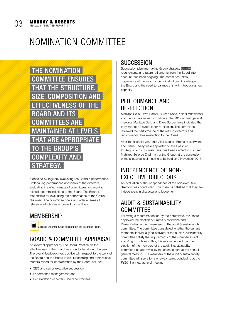### NOMINATION COMMITTEE

THE NOMINATION COMMITTEE ENSURES THAT THE STRUCTURE, SIZE, COMPOSITION AND EFFECTIVENESS OF THE BOARD AND ITS COMMITTEES ARE MAINTAINED AT LEVELS AT ARE APPROPRIATE THE GROUP'S COMPLEXITY AND RATFGY

It does so by regularly evaluating the Board's performance, undertaking performance appraisals of the directors, evaluating the effectiveness of committees and making related recommendations to the Board. The Board is responsible for evaluating the performance of the Group chairman. The committee operates under a terms of reference which was approved by the Board.

#### **MEMBERSHIP**

Disclosed under the Group directorate in the Integrated Report.

#### BOARD & COMMITTEE APPRAISAL

An external appraisal by The Board Practice on the effectiveness of the Board was conducted during the year. The overall feedback was positive with respect to the work of the Board and the Board is well functioning and professional. Matters raised for consideration by the Board include:

- CEO and senior executive succession;
- Performance management: and
- Consolidation of certain Board committees.

#### **SUCCESSION**

Succession planning, taking Group strategy, BBBEE requirements and future retirements from the Board into account, has been ongoing. The committee takes cognisance of the importance of institutional knowledge to the Board and the need to balance this with introducing new capacity.

#### PERFORMANCE AND RE-ELECTION

Mahlape Sello, Dave Barber, Suresh Kana, Xolani Mkhwanazi and Henry Laas retire by rotation at the 2017 annual general meeting. Mahlape Sello and Dave Barber have indicated that they will not be available for re-election. The committee reviewed the performance of the retiring directors and recommends their re-election to the Board.

After the financial year end, Alex Maditsi, Emma Mashilwane and Diane Radley were appointed to the Board on 23 August 2017. Suresh Kana has been elected to succeed Mahlape Sello as Chairman of the Group, at the conclusion of the annual general meeting to be held on 2 November 2017.

#### INDEPENDENCE OF NON-EXECUTIVE DIRECTORS

An evaluation of the independence of the non-executive directors was conducted. The Board is satisfied that they are independent in character and judgement.

#### AUDIT & SUSTAINABILITY COMMITTEE

Following a recommendation by the committee, the Board approved the election of Emma Mashilwane and Diane Radley as new members of the audit & sustainability committee. The committee considered whether the current members (individually/collectively) of the audit & sustainability committee satisfy the requirements of the Companies Act and King IV. Following this, it is recommended that the election of the members of the audit & sustainability committee be approved by the shareholders at the annual general meeting. The members of the audit & sustainability committee will serve for a one-year term, concluding at the FY2018 annual general meeting.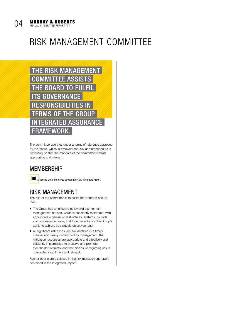### RISK MANAGEMENT COMMITTEE



The committee operates under a terms of reference approved by the Board, which is reviewed annually and amended as is necessary so that the mandate of the committee remains appropriate and relevant.

#### **MEMBERSHIP**

Disclosed under the Group directorate in the Integrated Report.

#### RISK MANAGEMENT

The role of the committee is to assist the Board to ensure that:

- The Group has an effective policy and plan for risk management in place, which is constantly monitored, with appropriate organisational structures, systems, controls and processes in place, that together enhance the Group's ability to achieve its strategic objectives; and
- All significant risk exposures are identified in a timely manner and clearly understood by management, that mitigation responses are appropriate and effectively and efficiently implemented to preserve and promote stakeholder interests, and that disclosure regarding risk is comprehensive, timely and relevant.

Further details are disclosed in the risk management report contained in the Integrated Report.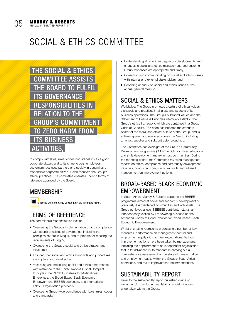

#### 05 **MURRAY & ROBERTS** ANNUAL INTEGRATED REPORT '17

### SOCIAL & ETHICS COMMITTEE



to comply with laws, rules, codes and standards as a good corporate citizen, and to its shareholders, employees, customers, business partners and society in general as a responsible corporate citizen. It also monitors the Group's ethical practices. The committee operates under a terms of reference approved by the Board.

#### **MEMBERSHIP**

Disclosed under the Group directorate in the Integrated Report.

#### TERMS OF REFERENCE

The committee's responsibilities include:

- Overseeing the Group's implementation of and compliance with sound principles of governance, including the principles set out in King III, and to prepare for meeting the requirements of King IV;
- Overseeing the Group's social and ethics strategy and structures;
- Ensuring that social and ethics standards and procedures are in place and are effective;
- Assessing and measuring social and ethics performance with reference to the United Nations Global Compact Principles, the OECD Guidelines for Multinational Enterprises, the Broad Based Black Economic Empowerment (BBBEE) scorecard, and International Labour Organisation protocols;
- Overseeing Group-wide compliance with laws, rules, codes and standards;
- Understanding all significant regulatory developments and changes in social and ethics management, and ensuring Group responses are appropriate and timely;
- Consulting and communicating on social and ethics issues with internal and external stakeholders; and
- Reporting annually on social and ethics issues at the annual general meeting.

### SOCIAL & ETHICS MATTERS

Worldwide: The Group promotes a culture of ethical values, standards and practices in all areas and aspects of its business operations. The Group's published Values and the Statement of Business Principles effectively establish the Group's ethics framework, which are contained in a Group Code of Conduct. The code has become the standard bearer of the moral and ethical culture of the Group, and is actively applied and enforced across the Group, including amongst supplier and subcontractor groupings.

The Committee has oversight of the Group's Community Development Programme ("CDP") which prioritises education and skills development, mainly in host communities. During the reporting period, the Committee reviewed management reports on ethics, compliance and community development initiatives, conducted community field visits and advised management on improvement actions.

#### BROAD-BASED BLACK ECONOMIC EMPOWERMENT

In South Africa, Murray & Roberts supports the BBBEE programme aimed at social and economic development of previously disadvantaged communities and individuals. The Group achieved a level 3 BBBEE contributor status as independently verified by Empowerlogic, based on the Amended Codes of Good Practice for Broad Based Black Economic Empowerment.

Whilst this rating represents progress in a number of key measures, performance on management control and employment equity did not meet expectations. Various improvement actions have been taken by management, including the appointment of an independent organisation that is far advanced in its mandate in carrying out a comprehensive assessment of the state of transformation and employment equity within the Group's South African operations, and make improvement recommendations.

#### SUSTAINABILITY REPORT

Refer to the sustainability report published online on www.murrob.com for further detail on social initiatives undertaken within the Group.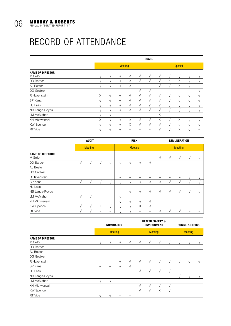### RECORD OF ATTENDANCE

|                                    | <b>BOARD</b>   |            |               |            |               |            |                |            |               |            |               |  |
|------------------------------------|----------------|------------|---------------|------------|---------------|------------|----------------|------------|---------------|------------|---------------|--|
|                                    | <b>Meeting</b> |            |               |            |               |            | <b>Special</b> |            |               |            |               |  |
| <b>NAME OF DIRECTOR</b><br>M Sello | V              | $\sqrt{ }$ | $\sqrt{ }$    | $\sqrt{ }$ | V             | $\sqrt{ }$ | V              | $\sqrt{ }$ | $\sqrt{ }$    | V          | $\sqrt{ }$    |  |
| DD Barber                          | V              | $\sqrt{ }$ | $\sqrt{ }$    | $\sqrt{ }$ | $\sqrt{ }$    | $\sqrt{ }$ | $\sqrt{ }$     | X          | X             | V          | $\sqrt{ }$    |  |
| AJ Bester                          | $\mathcal{V}$  | $\sqrt{ }$ | $\mathcal{L}$ |            |               | -          | N              | V          | X             | N          |               |  |
| DG Grobler                         |                |            |               |            | $\mathcal{L}$ | $\sqrt{ }$ |                |            |               |            |               |  |
| R Havenstein                       | X              | $\sqrt{ }$ | $\sqrt{ }$    | $\sqrt{ }$ | $\sqrt{ }$    | $\sqrt{ }$ | V              | $\sqrt{ }$ | $\sqrt{ }$    | V          | $\sqrt{ }$    |  |
| SP Kana                            | N              | ٦I         | $\Delta$      |            |               | $\sqrt{ }$ | $\sqrt{ }$     |            | $\mathcal{N}$ |            |               |  |
| HJ Laas                            | V              | V          | $\sqrt{ }$    |            | $\mathcal{N}$ | $\sqrt{ }$ | N              | V          | V             | N          | $\mathcal{N}$ |  |
| NB Langa-Royds                     | $\sqrt{ }$     | $\sqrt{ }$ | $\sqrt{ }$    | $\sqrt{ }$ | $\sqrt{ }$    | $\sqrt{ }$ | $\sqrt{ }$     | $\sqrt{ }$ | $\sqrt{ }$    | $\sqrt{ }$ | $\sqrt{ }$    |  |
| <b>JM McMahon</b>                  | V              | $\sqrt{ }$ |               |            |               | -          | X              | -          |               |            |               |  |
| XH Mkhwanazi                       | X              | V          | $\sqrt{ }$    | $\sqrt{ }$ | $\sqrt{ }$    | $\sqrt{ }$ | X              | $\sqrt{ }$ | X             | V          | $\sqrt{ }$    |  |
| <b>KW Spence</b>                   | $\sqrt{ }$     | $\sqrt{ }$ | $\sqrt{ }$    | X          | $\sqrt{ }$    | $\sqrt{ }$ | $\sqrt{ }$     | $\sqrt{ }$ | $\sqrt{ }$    | $\sqrt{ }$ | $\sqrt{ }$    |  |
| <b>RT</b> Vice                     | V              | M          | $\mathcal{N}$ |            |               |            | N              | $\sqrt{ }$ | X             | N          |               |  |

|                                    | <b>AUDIT</b>   |            |   |                |   | <b>RISK</b>  |    |                |               | <b>REMUNERATION</b> |              |               |               |  |  |
|------------------------------------|----------------|------------|---|----------------|---|--------------|----|----------------|---------------|---------------------|--------------|---------------|---------------|--|--|
|                                    | <b>Meeting</b> |            |   | <b>Meeting</b> |   |              |    | <b>Meeting</b> |               |                     |              |               |               |  |  |
| <b>NAME OF DIRECTOR</b><br>M Sello |                |            |   |                |   |              |    |                | $\mathcal{L}$ | M                   | $\sqrt{ }$   | $\mathcal{N}$ | $\mathcal{N}$ |  |  |
| DD Barber                          | V              | $\sqrt{ }$ | V | V              | N | $\mathbf{A}$ | ٦  | $\sqrt{ }$     |               |                     |              |               |               |  |  |
| AJ Bester                          |                |            |   |                |   |              |    |                |               |                     |              |               |               |  |  |
| DG Grobler                         |                |            |   |                |   |              |    |                |               |                     |              |               |               |  |  |
| R Havenstein                       |                |            |   |                |   |              |    |                |               |                     |              | $\mathbf{A}$  | $\sqrt{ }$    |  |  |
| SP Kana                            | V              | V          | V | V              |   |              |    | V              |               | M                   |              | $\sqrt{ }$    | $\sqrt{ }$    |  |  |
| HJ Laas                            |                |            |   |                |   |              |    |                |               |                     |              |               |               |  |  |
| NB Langa-Royds                     |                |            |   |                |   | $\sqrt{ }$   | ٦I | $\sqrt{ }$     | $\sqrt{ }$    | $\sqrt{ }$          | $\sqrt{ }$   | $\sqrt{ }$    | $\sqrt{ }$    |  |  |
| JM McMahon                         | V              | V          |   |                |   |              |    |                |               |                     |              |               |               |  |  |
| XH Mkhwanazi                       |                |            |   |                | N |              | ٦  | $\sqrt{ }$     |               |                     |              |               |               |  |  |
| <b>KW Spence</b>                   |                | V          | X | $\sqrt{}$      |   |              | X  | $\sqrt{ }$     |               |                     |              |               |               |  |  |
| <b>RT</b> Vice                     |                | M          |   |                |   |              |    |                |               | $\mathcal{L}$       | $\mathbf{A}$ |               |               |  |  |

|                                    |            | <b>NOMINATION</b> |                |   |            |                | <b>HEALTH, SAFETY &amp;</b><br><b>ENVIRONMENT</b> | <b>SOCIAL &amp; ETHICS</b> |            |            |            |
|------------------------------------|------------|-------------------|----------------|---|------------|----------------|---------------------------------------------------|----------------------------|------------|------------|------------|
|                                    |            |                   | <b>Meeting</b> |   |            | <b>Meeting</b> |                                                   | <b>Meeting</b>             |            |            |            |
| <b>NAME OF DIRECTOR</b><br>M Sello | $\sqrt{ }$ | $\sqrt{ }$        | $\sqrt{ }$     | V | $\sqrt{ }$ | V              | $\sqrt{ }$                                        | V                          | $\sqrt{ }$ | V          | J.         |
| DD Barber                          |            |                   |                |   |            |                |                                                   |                            |            |            |            |
| AJ Bester                          |            |                   |                |   |            |                |                                                   |                            |            |            |            |
| DG Grobler                         |            |                   |                |   |            |                |                                                   |                            |            |            |            |
| R Havenstein                       |            |                   | $\Delta$       | V | V          | V              | V                                                 | V                          | $\sqrt{ }$ | $\sqrt{ }$ | $\sqrt{ }$ |
| SP Kana                            |            |                   | $\mathbf{A}$   | V |            |                |                                                   |                            |            |            |            |
| HJ Laas                            |            |                   |                |   | V          | N              | $\sqrt{ }$                                        | V                          |            |            |            |
| NB Langa-Royds                     |            |                   |                |   |            |                |                                                   |                            | V          | V          | $\sqrt{ }$ |
| <b>JM McMahon</b>                  | $\sqrt{ }$ | $\sqrt{ }$        |                | - |            |                |                                                   |                            |            |            |            |
| XH Mkhwanazi                       |            |                   |                |   |            |                | N                                                 | V                          |            |            |            |
| <b>KW Spence</b>                   |            |                   |                |   | N          |                | X                                                 | $\sqrt{ }$                 |            |            |            |
| <b>RT</b> Vice                     | N          | ٦I                |                |   |            |                |                                                   |                            |            |            |            |